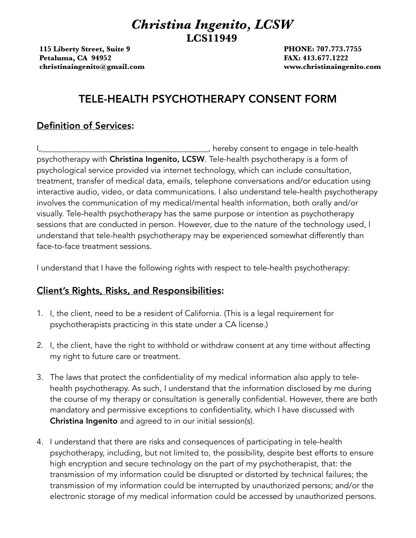## *Christina Ingenito, LCSW*  **LCS11949**

**115 Liberty Street, Suite 9 PHONE: 707.773.7755 Petaluma, CA 94952** *Petaluma, CA 94952 Petaluma, CA 94952* **<b>***FAX: 413.677.1222* **[christinaingenito@gmail.com](mailto:christinaingenito@gmail.com) www.christinaingenito.com**

## TELE-HEALTH PSYCHOTHERAPY CONSENT FORM

## Definition of Services:

I,\_\_\_\_\_\_\_\_\_\_\_\_\_\_\_\_\_\_\_\_\_\_\_\_\_\_\_\_\_\_\_\_\_\_\_\_\_\_\_\_\_, hereby consent to engage in tele-health psychotherapy with Christina Ingenito, LCSW. Tele-health psychotherapy is a form of psychological service provided via internet technology, which can include consultation, treatment, transfer of medical data, emails, telephone conversations and/or education using interactive audio, video, or data communications. I also understand tele-health psychotherapy involves the communication of my medical/mental health information, both orally and/or visually. Tele-health psychotherapy has the same purpose or intention as psychotherapy sessions that are conducted in person. However, due to the nature of the technology used, I understand that tele-health psychotherapy may be experienced somewhat differently than face-to-face treatment sessions.

I understand that I have the following rights with respect to tele-health psychotherapy:

## Client's Rights, Risks, and Responsibilities:

- 1. I, the client, need to be a resident of California. (This is a legal requirement for psychotherapists practicing in this state under a CA license.)
- 2. I, the client, have the right to withhold or withdraw consent at any time without affecting my right to future care or treatment.
- 3. The laws that protect the confidentiality of my medical information also apply to telehealth psychotherapy. As such, I understand that the information disclosed by me during the course of my therapy or consultation is generally confidential. However, there are both mandatory and permissive exceptions to confidentiality, which I have discussed with Christina Ingenito and agreed to in our initial session(s).
- 4. I understand that there are risks and consequences of participating in tele-health psychotherapy, including, but not limited to, the possibility, despite best efforts to ensure high encryption and secure technology on the part of my psychotherapist, that: the transmission of my information could be disrupted or distorted by technical failures; the transmission of my information could be interrupted by unauthorized persons; and/or the electronic storage of my medical information could be accessed by unauthorized persons.